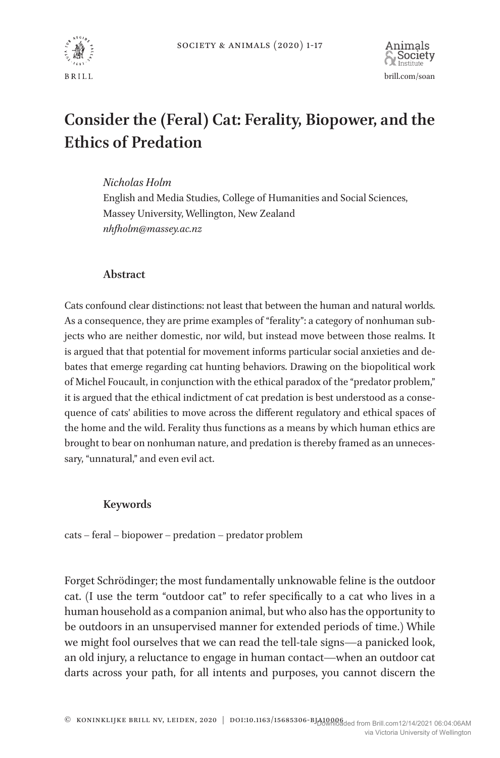

# **Consider the (Feral) Cat: Ferality, Biopower, and the Ethics of Predation**

*Nicholas Holm*

English and Media Studies, College of Humanities and Social Sciences, Massey University, Wellington, New Zealand *nhfholm@massey.ac.nz*

# **Abstract**

Cats confound clear distinctions: not least that between the human and natural worlds. As a consequence, they are prime examples of "ferality": a category of nonhuman subjects who are neither domestic, nor wild, but instead move between those realms. It is argued that that potential for movement informs particular social anxieties and debates that emerge regarding cat hunting behaviors. Drawing on the biopolitical work of Michel Foucault, in conjunction with the ethical paradox of the "predator problem," it is argued that the ethical indictment of cat predation is best understood as a consequence of cats' abilities to move across the different regulatory and ethical spaces of the home and the wild. Ferality thus functions as a means by which human ethics are brought to bear on nonhuman nature, and predation is thereby framed as an unnecessary, "unnatural," and even evil act.

## **Keywords**

cats – feral – biopower – predation – predator problem

Forget Schrödinger; the most fundamentally unknowable feline is the outdoor cat. (I use the term "outdoor cat" to refer specifically to a cat who lives in a human household as a companion animal, but who also has the opportunity to be outdoors in an unsupervised manner for extended periods of time.) While we might fool ourselves that we can read the tell-tale signs—a panicked look, an old injury, a reluctance to engage in human contact—when an outdoor cat darts across your path, for all intents and purposes, you cannot discern the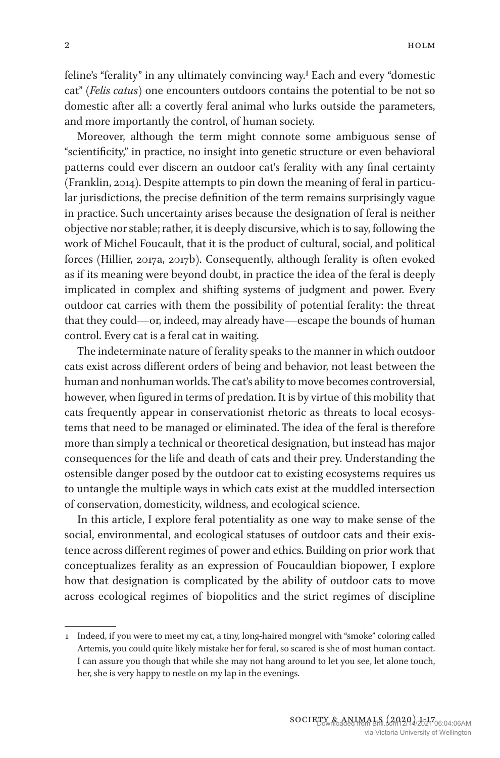feline's "ferality" in any ultimately convincing way.1 Each and every "domestic cat" (*Felis catus*) one encounters outdoors contains the potential to be not so domestic after all: a covertly feral animal who lurks outside the parameters, and more importantly the control, of human society.

Moreover, although the term might connote some ambiguous sense of "scientificity," in practice, no insight into genetic structure or even behavioral patterns could ever discern an outdoor cat's ferality with any final certainty (Franklin, 2014). Despite attempts to pin down the meaning of feral in particular jurisdictions, the precise definition of the term remains surprisingly vague in practice. Such uncertainty arises because the designation of feral is neither objective nor stable; rather, it is deeply discursive, which is to say, following the work of Michel Foucault, that it is the product of cultural, social, and political forces (Hillier, 2017a, 2017b). Consequently, although ferality is often evoked as if its meaning were beyond doubt, in practice the idea of the feral is deeply implicated in complex and shifting systems of judgment and power. Every outdoor cat carries with them the possibility of potential ferality: the threat that they could—or, indeed, may already have—escape the bounds of human control. Every cat is a feral cat in waiting.

The indeterminate nature of ferality speaks to the manner in which outdoor cats exist across different orders of being and behavior, not least between the human and nonhuman worlds. The cat's ability to move becomes controversial, however, when figured in terms of predation. It is by virtue of this mobility that cats frequently appear in conservationist rhetoric as threats to local ecosystems that need to be managed or eliminated. The idea of the feral is therefore more than simply a technical or theoretical designation, but instead has major consequences for the life and death of cats and their prey. Understanding the ostensible danger posed by the outdoor cat to existing ecosystems requires us to untangle the multiple ways in which cats exist at the muddled intersection of conservation, domesticity, wildness, and ecological science.

In this article, I explore feral potentiality as one way to make sense of the social, environmental, and ecological statuses of outdoor cats and their existence across different regimes of power and ethics. Building on prior work that conceptualizes ferality as an expression of Foucauldian biopower, I explore how that designation is complicated by the ability of outdoor cats to move across ecological regimes of biopolitics and the strict regimes of discipline

<sup>1</sup> Indeed, if you were to meet my cat, a tiny, long-haired mongrel with "smoke" coloring called Artemis, you could quite likely mistake her for feral, so scared is she of most human contact. I can assure you though that while she may not hang around to let you see, let alone touch, her, she is very happy to nestle on my lap in the evenings.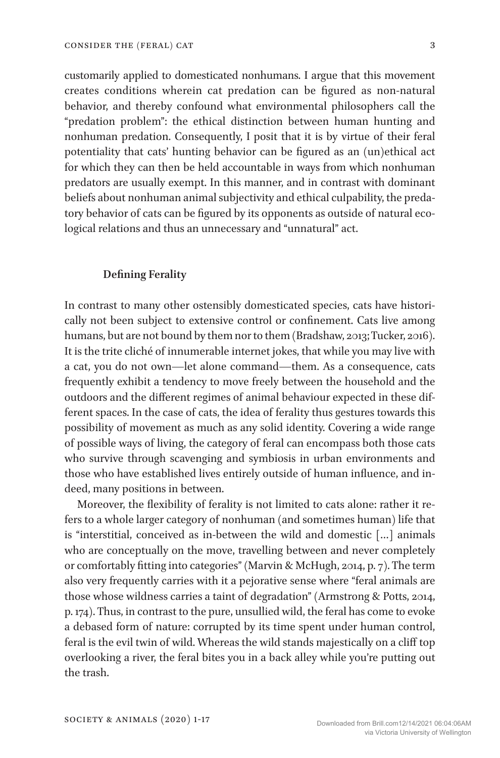customarily applied to domesticated nonhumans. I argue that this movement creates conditions wherein cat predation can be figured as non-natural behavior, and thereby confound what environmental philosophers call the "predation problem": the ethical distinction between human hunting and nonhuman predation. Consequently, I posit that it is by virtue of their feral potentiality that cats' hunting behavior can be figured as an (un)ethical act for which they can then be held accountable in ways from which nonhuman predators are usually exempt. In this manner, and in contrast with dominant beliefs about nonhuman animal subjectivity and ethical culpability, the predatory behavior of cats can be figured by its opponents as outside of natural ecological relations and thus an unnecessary and "unnatural" act.

#### **Defining Ferality**

In contrast to many other ostensibly domesticated species, cats have historically not been subject to extensive control or confinement. Cats live among humans, but are not bound by them nor to them (Bradshaw, 2013; Tucker, 2016). It is the trite cliché of innumerable internet jokes, that while you may live with a cat, you do not own—let alone command—them. As a consequence, cats frequently exhibit a tendency to move freely between the household and the outdoors and the different regimes of animal behaviour expected in these different spaces. In the case of cats, the idea of ferality thus gestures towards this possibility of movement as much as any solid identity. Covering a wide range of possible ways of living, the category of feral can encompass both those cats who survive through scavenging and symbiosis in urban environments and those who have established lives entirely outside of human influence, and indeed, many positions in between.

Moreover, the flexibility of ferality is not limited to cats alone: rather it refers to a whole larger category of nonhuman (and sometimes human) life that is "interstitial, conceived as in-between the wild and domestic […] animals who are conceptually on the move, travelling between and never completely or comfortably fitting into categories" (Marvin & McHugh, 2014, p. 7). The term also very frequently carries with it a pejorative sense where "feral animals are those whose wildness carries a taint of degradation" (Armstrong & Potts, 2014, p. 174). Thus, in contrast to the pure, unsullied wild, the feral has come to evoke a debased form of nature: corrupted by its time spent under human control, feral is the evil twin of wild. Whereas the wild stands majestically on a cliff top overlooking a river, the feral bites you in a back alley while you're putting out the trash.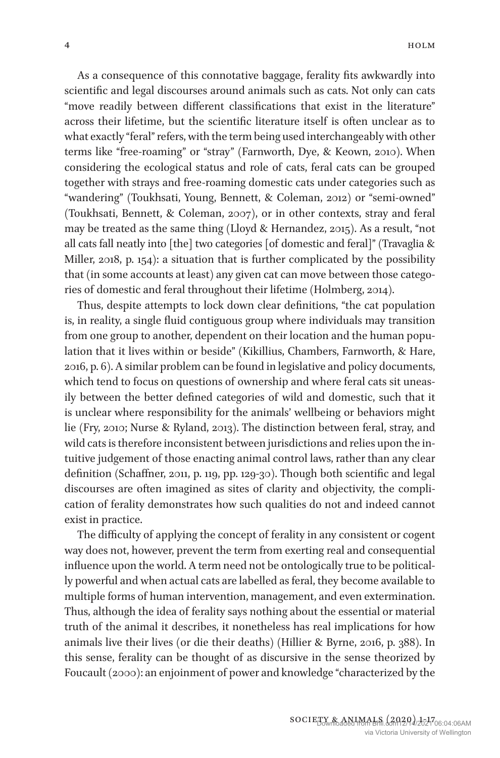As a consequence of this connotative baggage, ferality fits awkwardly into scientific and legal discourses around animals such as cats. Not only can cats "move readily between different classifications that exist in the literature" across their lifetime, but the scientific literature itself is often unclear as to what exactly "feral" refers, with the term being used interchangeably with other terms like "free-roaming" or "stray" (Farnworth, Dye, & Keown, 2010). When considering the ecological status and role of cats, feral cats can be grouped together with strays and free-roaming domestic cats under categories such as "wandering" (Toukhsati, Young, Bennett, & Coleman, 2012) or "semi-owned" (Toukhsati, Bennett, & Coleman, 2007), or in other contexts, stray and feral may be treated as the same thing (Lloyd & Hernandez, 2015). As a result, "not all cats fall neatly into [the] two categories [of domestic and feral]" (Travaglia & Miller, 2018, p. 154): a situation that is further complicated by the possibility that (in some accounts at least) any given cat can move between those categories of domestic and feral throughout their lifetime (Holmberg, 2014).

Thus, despite attempts to lock down clear definitions, "the cat population is, in reality, a single fluid contiguous group where individuals may transition from one group to another, dependent on their location and the human population that it lives within or beside" (Kikillius, Chambers, Farnworth, & Hare, 2016, p. 6). A similar problem can be found in legislative and policy documents, which tend to focus on questions of ownership and where feral cats sit uneasily between the better defined categories of wild and domestic, such that it is unclear where responsibility for the animals' wellbeing or behaviors might lie (Fry, 2010; Nurse & Ryland, 2013). The distinction between feral, stray, and wild cats is therefore inconsistent between jurisdictions and relies upon the intuitive judgement of those enacting animal control laws, rather than any clear definition (Schaffner, 2011, p. 119, pp. 129-30). Though both scientific and legal discourses are often imagined as sites of clarity and objectivity, the complication of ferality demonstrates how such qualities do not and indeed cannot exist in practice.

The difficulty of applying the concept of ferality in any consistent or cogent way does not, however, prevent the term from exerting real and consequential influence upon the world. A term need not be ontologically true to be politically powerful and when actual cats are labelled as feral, they become available to multiple forms of human intervention, management, and even extermination. Thus, although the idea of ferality says nothing about the essential or material truth of the animal it describes, it nonetheless has real implications for how animals live their lives (or die their deaths) (Hillier & Byrne, 2016, p. 388). In this sense, ferality can be thought of as discursive in the sense theorized by Foucault (2000): an enjoinment of power and knowledge "characterized by the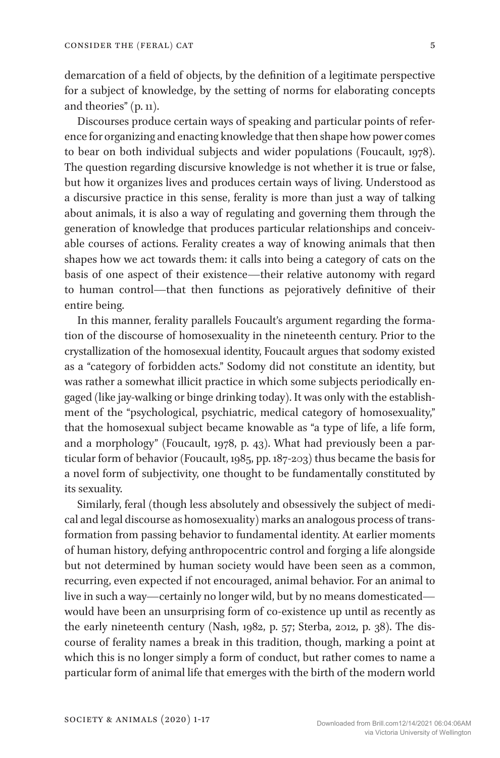demarcation of a field of objects, by the definition of a legitimate perspective for a subject of knowledge, by the setting of norms for elaborating concepts and theories" (p. 11).

Discourses produce certain ways of speaking and particular points of reference for organizing and enacting knowledge that then shape how power comes to bear on both individual subjects and wider populations (Foucault, 1978). The question regarding discursive knowledge is not whether it is true or false, but how it organizes lives and produces certain ways of living. Understood as a discursive practice in this sense, ferality is more than just a way of talking about animals, it is also a way of regulating and governing them through the generation of knowledge that produces particular relationships and conceivable courses of actions. Ferality creates a way of knowing animals that then shapes how we act towards them: it calls into being a category of cats on the basis of one aspect of their existence—their relative autonomy with regard to human control—that then functions as pejoratively definitive of their entire being.

In this manner, ferality parallels Foucault's argument regarding the formation of the discourse of homosexuality in the nineteenth century. Prior to the crystallization of the homosexual identity, Foucault argues that sodomy existed as a "category of forbidden acts." Sodomy did not constitute an identity, but was rather a somewhat illicit practice in which some subjects periodically engaged (like jay-walking or binge drinking today). It was only with the establishment of the "psychological, psychiatric, medical category of homosexuality," that the homosexual subject became knowable as "a type of life, a life form, and a morphology" (Foucault, 1978, p. 43). What had previously been a particular form of behavior (Foucault, 1985, pp. 187-203) thus became the basis for a novel form of subjectivity, one thought to be fundamentally constituted by its sexuality.

Similarly, feral (though less absolutely and obsessively the subject of medical and legal discourse as homosexuality) marks an analogous process of transformation from passing behavior to fundamental identity. At earlier moments of human history, defying anthropocentric control and forging a life alongside but not determined by human society would have been seen as a common, recurring, even expected if not encouraged, animal behavior. For an animal to live in such a way—certainly no longer wild, but by no means domesticated would have been an unsurprising form of co-existence up until as recently as the early nineteenth century (Nash, 1982, p. 57; Sterba, 2012, p. 38). The discourse of ferality names a break in this tradition, though, marking a point at which this is no longer simply a form of conduct, but rather comes to name a particular form of animal life that emerges with the birth of the modern world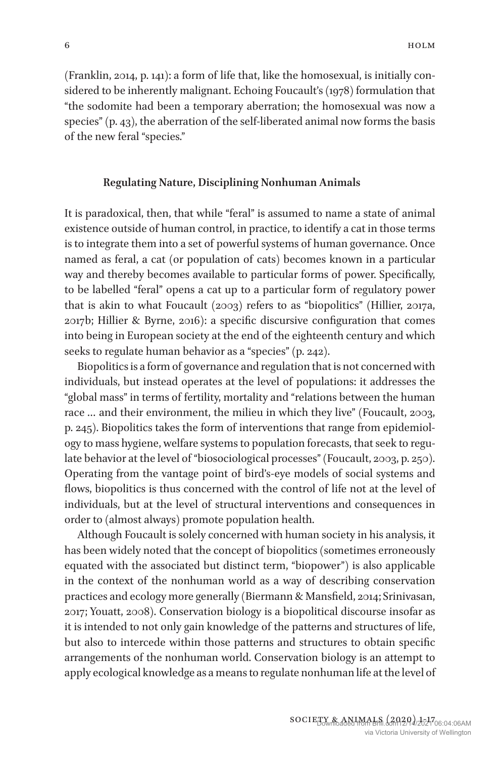(Franklin, 2014, p. 141): a form of life that, like the homosexual, is initially considered to be inherently malignant. Echoing Foucault's (1978) formulation that "the sodomite had been a temporary aberration; the homosexual was now a species" (p. 43), the aberration of the self-liberated animal now forms the basis of the new feral "species."

## **Regulating Nature, Disciplining Nonhuman Animals**

It is paradoxical, then, that while "feral" is assumed to name a state of animal existence outside of human control, in practice, to identify a cat in those terms is to integrate them into a set of powerful systems of human governance. Once named as feral, a cat (or population of cats) becomes known in a particular way and thereby becomes available to particular forms of power. Specifically, to be labelled "feral" opens a cat up to a particular form of regulatory power that is akin to what Foucault (2003) refers to as "biopolitics" (Hillier, 2017a, 2017b; Hillier & Byrne, 2016): a specific discursive configuration that comes into being in European society at the end of the eighteenth century and which seeks to regulate human behavior as a "species" (p. 242).

Biopolitics is a form of governance and regulation that is not concerned with individuals, but instead operates at the level of populations: it addresses the "global mass" in terms of fertility, mortality and "relations between the human race … and their environment, the milieu in which they live" (Foucault, 2003, p. 245). Biopolitics takes the form of interventions that range from epidemiology to mass hygiene, welfare systems to population forecasts, that seek to regulate behavior at the level of "biosociological processes" (Foucault, 2003, p. 250). Operating from the vantage point of bird's-eye models of social systems and flows, biopolitics is thus concerned with the control of life not at the level of individuals, but at the level of structural interventions and consequences in order to (almost always) promote population health.

Although Foucault is solely concerned with human society in his analysis, it has been widely noted that the concept of biopolitics (sometimes erroneously equated with the associated but distinct term, "biopower") is also applicable in the context of the nonhuman world as a way of describing conservation practices and ecology more generally (Biermann & Mansfield, 2014; Srinivasan, 2017; Youatt, 2008). Conservation biology is a biopolitical discourse insofar as it is intended to not only gain knowledge of the patterns and structures of life, but also to intercede within those patterns and structures to obtain specific arrangements of the nonhuman world. Conservation biology is an attempt to apply ecological knowledge as a means to regulate nonhuman life at the level of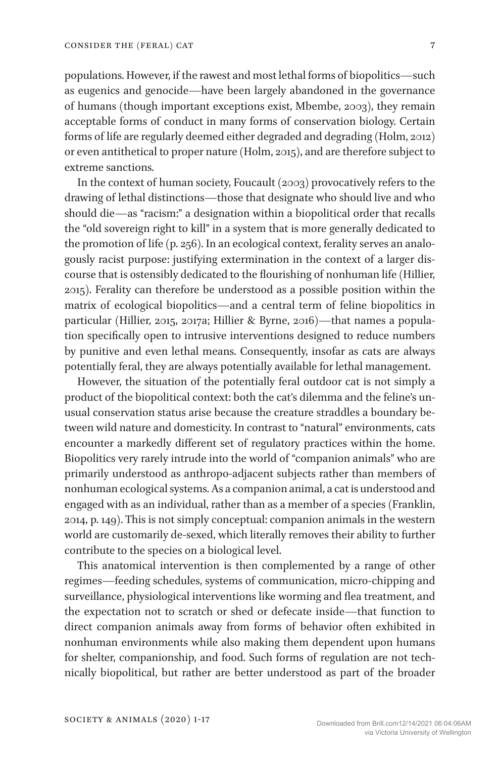populations. However, if the rawest and most lethal forms of biopolitics—such as eugenics and genocide—have been largely abandoned in the governance of humans (though important exceptions exist, Mbembe, 2003), they remain acceptable forms of conduct in many forms of conservation biology. Certain forms of life are regularly deemed either degraded and degrading (Holm, 2012) or even antithetical to proper nature (Holm, 2015), and are therefore subject to extreme sanctions.

In the context of human society, Foucault (2003) provocatively refers to the drawing of lethal distinctions—those that designate who should live and who should die—as "racism:" a designation within a biopolitical order that recalls the "old sovereign right to kill" in a system that is more generally dedicated to the promotion of life (p. 256). In an ecological context, ferality serves an analogously racist purpose: justifying extermination in the context of a larger discourse that is ostensibly dedicated to the flourishing of nonhuman life (Hillier, 2015). Ferality can therefore be understood as a possible position within the matrix of ecological biopolitics—and a central term of feline biopolitics in particular (Hillier, 2015, 2017a; Hillier & Byrne, 2016)—that names a population specifically open to intrusive interventions designed to reduce numbers by punitive and even lethal means. Consequently, insofar as cats are always potentially feral, they are always potentially available for lethal management.

However, the situation of the potentially feral outdoor cat is not simply a product of the biopolitical context: both the cat's dilemma and the feline's unusual conservation status arise because the creature straddles a boundary between wild nature and domesticity. In contrast to "natural" environments, cats encounter a markedly different set of regulatory practices within the home. Biopolitics very rarely intrude into the world of "companion animals" who are primarily understood as anthropo-adjacent subjects rather than members of nonhuman ecological systems. As a companion animal, a cat is understood and engaged with as an individual, rather than as a member of a species (Franklin, 2014, p. 149). This is not simply conceptual: companion animals in the western world are customarily de-sexed, which literally removes their ability to further contribute to the species on a biological level.

This anatomical intervention is then complemented by a range of other regimes—feeding schedules, systems of communication, micro-chipping and surveillance, physiological interventions like worming and flea treatment, and the expectation not to scratch or shed or defecate inside—that function to direct companion animals away from forms of behavior often exhibited in nonhuman environments while also making them dependent upon humans for shelter, companionship, and food. Such forms of regulation are not technically biopolitical, but rather are better understood as part of the broader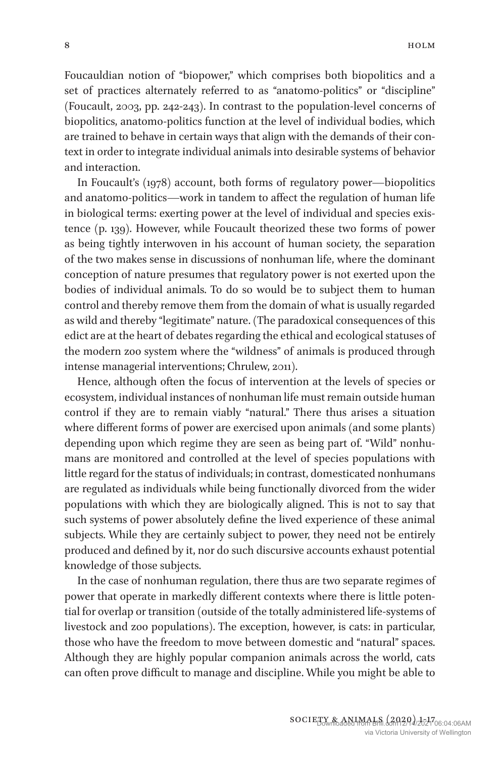Foucauldian notion of "biopower," which comprises both biopolitics and a set of practices alternately referred to as "anatomo-politics" or "discipline" (Foucault, 2003, pp. 242-243). In contrast to the population-level concerns of biopolitics, anatomo-politics function at the level of individual bodies, which are trained to behave in certain ways that align with the demands of their context in order to integrate individual animals into desirable systems of behavior and interaction.

In Foucault's (1978) account, both forms of regulatory power—biopolitics and anatomo-politics—work in tandem to affect the regulation of human life in biological terms: exerting power at the level of individual and species existence (p. 139). However, while Foucault theorized these two forms of power as being tightly interwoven in his account of human society, the separation of the two makes sense in discussions of nonhuman life, where the dominant conception of nature presumes that regulatory power is not exerted upon the bodies of individual animals. To do so would be to subject them to human control and thereby remove them from the domain of what is usually regarded as wild and thereby "legitimate" nature. (The paradoxical consequences of this edict are at the heart of debates regarding the ethical and ecological statuses of the modern zoo system where the "wildness" of animals is produced through intense managerial interventions; Chrulew, 2011).

Hence, although often the focus of intervention at the levels of species or ecosystem, individual instances of nonhuman life must remain outside human control if they are to remain viably "natural." There thus arises a situation where different forms of power are exercised upon animals (and some plants) depending upon which regime they are seen as being part of. "Wild" nonhumans are monitored and controlled at the level of species populations with little regard for the status of individuals; in contrast, domesticated nonhumans are regulated as individuals while being functionally divorced from the wider populations with which they are biologically aligned. This is not to say that such systems of power absolutely define the lived experience of these animal subjects. While they are certainly subject to power, they need not be entirely produced and defined by it, nor do such discursive accounts exhaust potential knowledge of those subjects.

In the case of nonhuman regulation, there thus are two separate regimes of power that operate in markedly different contexts where there is little potential for overlap or transition (outside of the totally administered life-systems of livestock and zoo populations). The exception, however, is cats: in particular, those who have the freedom to move between domestic and "natural" spaces. Although they are highly popular companion animals across the world, cats can often prove difficult to manage and discipline. While you might be able to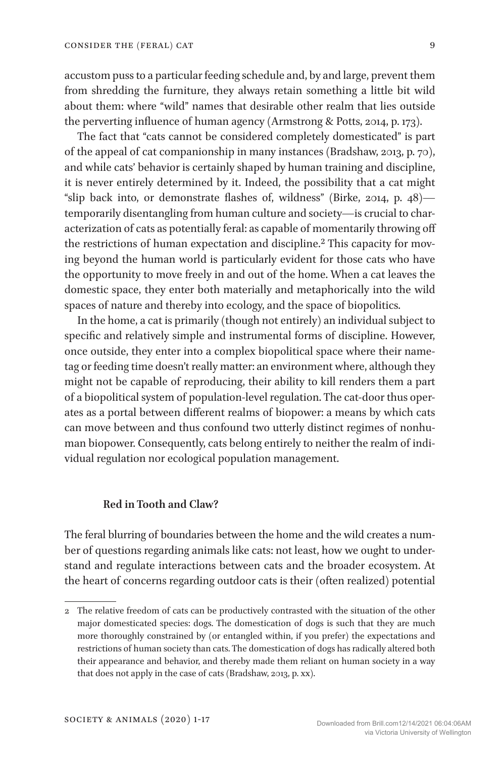accustom puss to a particular feeding schedule and, by and large, prevent them from shredding the furniture, they always retain something a little bit wild about them: where "wild" names that desirable other realm that lies outside the perverting influence of human agency (Armstrong & Potts, 2014, p. 173).

The fact that "cats cannot be considered completely domesticated" is part of the appeal of cat companionship in many instances (Bradshaw, 2013, p. 70), and while cats' behavior is certainly shaped by human training and discipline, it is never entirely determined by it. Indeed, the possibility that a cat might "slip back into, or demonstrate flashes of, wildness" (Birke, 2014, p. 48) temporarily disentangling from human culture and society—is crucial to characterization of cats as potentially feral: as capable of momentarily throwing off the restrictions of human expectation and discipline.<sup>2</sup> This capacity for moving beyond the human world is particularly evident for those cats who have the opportunity to move freely in and out of the home. When a cat leaves the domestic space, they enter both materially and metaphorically into the wild spaces of nature and thereby into ecology, and the space of biopolitics.

In the home, a cat is primarily (though not entirely) an individual subject to specific and relatively simple and instrumental forms of discipline. However, once outside, they enter into a complex biopolitical space where their nametag or feeding time doesn't really matter: an environment where, although they might not be capable of reproducing, their ability to kill renders them a part of a biopolitical system of population-level regulation. The cat-door thus operates as a portal between different realms of biopower: a means by which cats can move between and thus confound two utterly distinct regimes of nonhuman biopower. Consequently, cats belong entirely to neither the realm of individual regulation nor ecological population management.

## **Red in Tooth and Claw?**

The feral blurring of boundaries between the home and the wild creates a number of questions regarding animals like cats: not least, how we ought to understand and regulate interactions between cats and the broader ecosystem. At the heart of concerns regarding outdoor cats is their (often realized) potential

<sup>2</sup> The relative freedom of cats can be productively contrasted with the situation of the other major domesticated species: dogs. The domestication of dogs is such that they are much more thoroughly constrained by (or entangled within, if you prefer) the expectations and restrictions of human society than cats. The domestication of dogs has radically altered both their appearance and behavior, and thereby made them reliant on human society in a way that does not apply in the case of cats (Bradshaw, 2013, p. xx).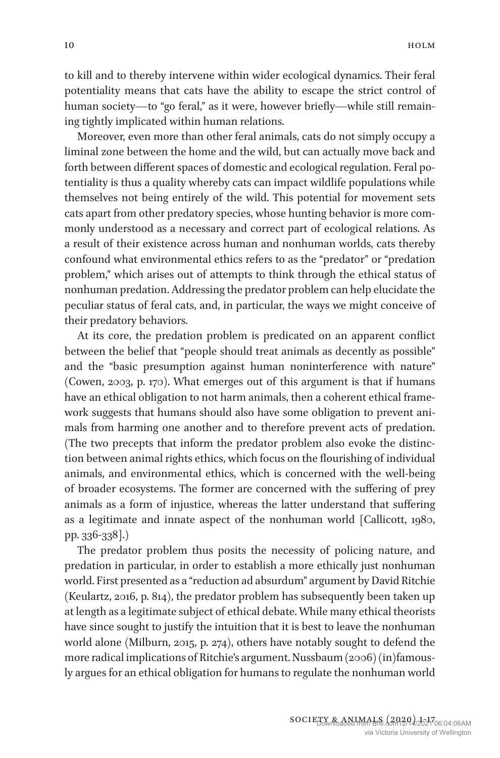to kill and to thereby intervene within wider ecological dynamics. Their feral potentiality means that cats have the ability to escape the strict control of human society—to "go feral," as it were, however briefly—while still remaining tightly implicated within human relations.

Moreover, even more than other feral animals, cats do not simply occupy a liminal zone between the home and the wild, but can actually move back and forth between different spaces of domestic and ecological regulation. Feral potentiality is thus a quality whereby cats can impact wildlife populations while themselves not being entirely of the wild. This potential for movement sets cats apart from other predatory species, whose hunting behavior is more commonly understood as a necessary and correct part of ecological relations. As a result of their existence across human and nonhuman worlds, cats thereby confound what environmental ethics refers to as the "predator" or "predation problem," which arises out of attempts to think through the ethical status of nonhuman predation. Addressing the predator problem can help elucidate the peculiar status of feral cats, and, in particular, the ways we might conceive of their predatory behaviors.

At its core, the predation problem is predicated on an apparent conflict between the belief that "people should treat animals as decently as possible" and the "basic presumption against human noninterference with nature" (Cowen, 2003, p. 170). What emerges out of this argument is that if humans have an ethical obligation to not harm animals, then a coherent ethical framework suggests that humans should also have some obligation to prevent animals from harming one another and to therefore prevent acts of predation. (The two precepts that inform the predator problem also evoke the distinction between animal rights ethics, which focus on the flourishing of individual animals, and environmental ethics, which is concerned with the well-being of broader ecosystems. The former are concerned with the suffering of prey animals as a form of injustice, whereas the latter understand that suffering as a legitimate and innate aspect of the nonhuman world [Callicott, 1980, pp. 336-338].)

The predator problem thus posits the necessity of policing nature, and predation in particular, in order to establish a more ethically just nonhuman world. First presented as a "reduction ad absurdum" argument by David Ritchie (Keulartz, 2016, p. 814), the predator problem has subsequently been taken up at length as a legitimate subject of ethical debate. While many ethical theorists have since sought to justify the intuition that it is best to leave the nonhuman world alone (Milburn, 2015, p. 274), others have notably sought to defend the more radical implications of Ritchie's argument. Nussbaum (2006) (in)famously argues for an ethical obligation for humans to regulate the nonhuman world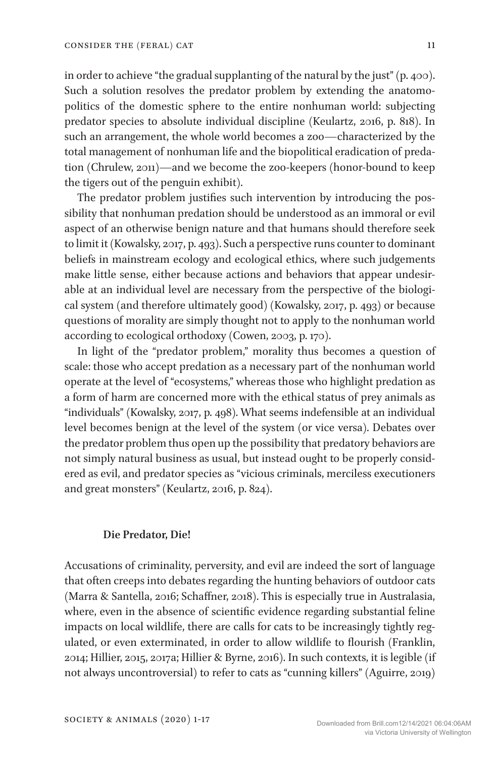in order to achieve "the gradual supplanting of the natural by the just" (p. 400). Such a solution resolves the predator problem by extending the anatomopolitics of the domestic sphere to the entire nonhuman world: subjecting predator species to absolute individual discipline (Keulartz, 2016, p. 818). In such an arrangement, the whole world becomes a zoo—characterized by the total management of nonhuman life and the biopolitical eradication of predation (Chrulew, 2011)—and we become the zoo-keepers (honor-bound to keep the tigers out of the penguin exhibit).

The predator problem justifies such intervention by introducing the possibility that nonhuman predation should be understood as an immoral or evil aspect of an otherwise benign nature and that humans should therefore seek to limit it (Kowalsky, 2017, p. 493). Such a perspective runs counter to dominant beliefs in mainstream ecology and ecological ethics, where such judgements make little sense, either because actions and behaviors that appear undesirable at an individual level are necessary from the perspective of the biological system (and therefore ultimately good) (Kowalsky, 2017, p. 493) or because questions of morality are simply thought not to apply to the nonhuman world according to ecological orthodoxy (Cowen, 2003, p. 170).

In light of the "predator problem," morality thus becomes a question of scale: those who accept predation as a necessary part of the nonhuman world operate at the level of "ecosystems," whereas those who highlight predation as a form of harm are concerned more with the ethical status of prey animals as "individuals" (Kowalsky, 2017, p. 498). What seems indefensible at an individual level becomes benign at the level of the system (or vice versa). Debates over the predator problem thus open up the possibility that predatory behaviors are not simply natural business as usual, but instead ought to be properly considered as evil, and predator species as "vicious criminals, merciless executioners and great monsters" (Keulartz, 2016, p. 824).

#### **Die Predator, Die!**

Accusations of criminality, perversity, and evil are indeed the sort of language that often creeps into debates regarding the hunting behaviors of outdoor cats (Marra & Santella, 2016; Schaffner, 2018). This is especially true in Australasia, where, even in the absence of scientific evidence regarding substantial feline impacts on local wildlife, there are calls for cats to be increasingly tightly regulated, or even exterminated, in order to allow wildlife to flourish (Franklin, 2014; Hillier, 2015, 2017a; Hillier & Byrne, 2016). In such contexts, it is legible (if not always uncontroversial) to refer to cats as "cunning killers" (Aguirre, 2019)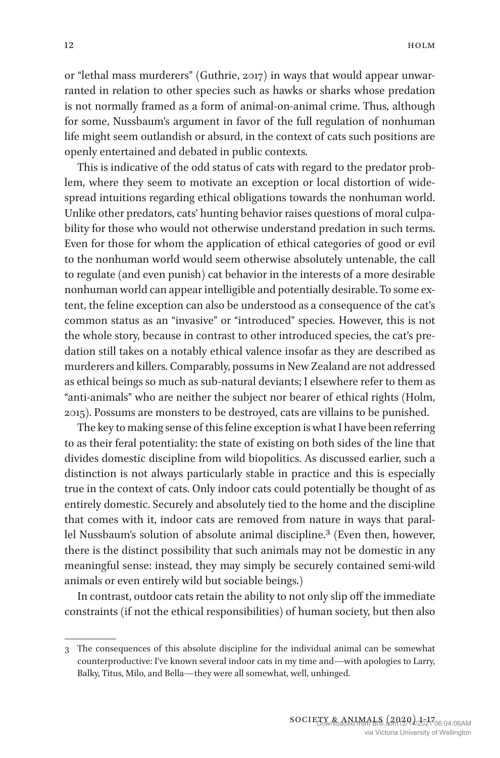or "lethal mass murderers" (Guthrie, 2017) in ways that would appear unwarranted in relation to other species such as hawks or sharks whose predation is not normally framed as a form of animal-on-animal crime. Thus, although for some, Nussbaum's argument in favor of the full regulation of nonhuman life might seem outlandish or absurd, in the context of cats such positions are openly entertained and debated in public contexts.

This is indicative of the odd status of cats with regard to the predator problem, where they seem to motivate an exception or local distortion of widespread intuitions regarding ethical obligations towards the nonhuman world. Unlike other predators, cats' hunting behavior raises questions of moral culpability for those who would not otherwise understand predation in such terms. Even for those for whom the application of ethical categories of good or evil to the nonhuman world would seem otherwise absolutely untenable, the call to regulate (and even punish) cat behavior in the interests of a more desirable nonhuman world can appear intelligible and potentially desirable. To some extent, the feline exception can also be understood as a consequence of the cat's common status as an "invasive" or "introduced" species. However, this is not the whole story, because in contrast to other introduced species, the cat's predation still takes on a notably ethical valence insofar as they are described as murderers and killers. Comparably, possums in New Zealand are not addressed as ethical beings so much as sub-natural deviants; I elsewhere refer to them as "anti-animals" who are neither the subject nor bearer of ethical rights (Holm, 2015). Possums are monsters to be destroyed, cats are villains to be punished.

The key to making sense of this feline exception is what I have been referring to as their feral potentiality: the state of existing on both sides of the line that divides domestic discipline from wild biopolitics. As discussed earlier, such a distinction is not always particularly stable in practice and this is especially true in the context of cats. Only indoor cats could potentially be thought of as entirely domestic. Securely and absolutely tied to the home and the discipline that comes with it, indoor cats are removed from nature in ways that parallel Nussbaum's solution of absolute animal discipline.<sup>3</sup> (Even then, however, there is the distinct possibility that such animals may not be domestic in any meaningful sense: instead, they may simply be securely contained semi-wild animals or even entirely wild but sociable beings.)

In contrast, outdoor cats retain the ability to not only slip off the immediate constraints (if not the ethical responsibilities) of human society, but then also

<sup>3</sup> The consequences of this absolute discipline for the individual animal can be somewhat counterproductive: I've known several indoor cats in my time and—with apologies to Larry, Balky, Titus, Milo, and Bella—they were all somewhat, well, unhinged.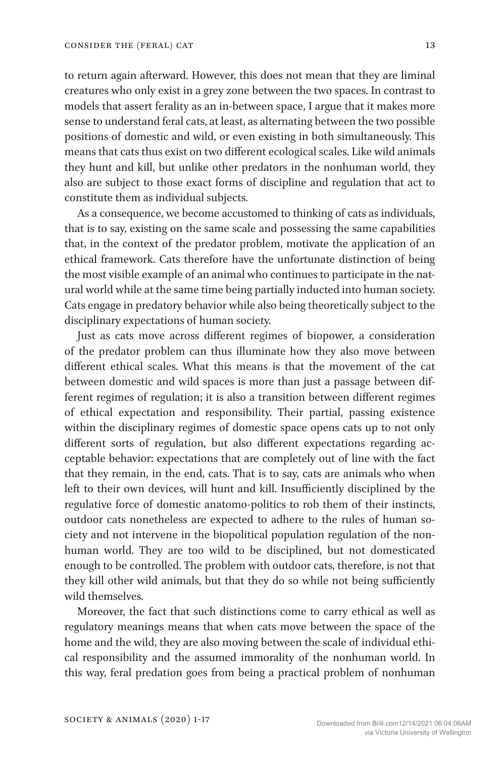to return again afterward. However, this does not mean that they are liminal creatures who only exist in a grey zone between the two spaces. In contrast to models that assert ferality as an in-between space, I argue that it makes more sense to understand feral cats, at least, as alternating between the two possible positions of domestic and wild, or even existing in both simultaneously. This means that cats thus exist on two different ecological scales. Like wild animals they hunt and kill, but unlike other predators in the nonhuman world, they also are subject to those exact forms of discipline and regulation that act to constitute them as individual subjects.

As a consequence, we become accustomed to thinking of cats as individuals, that is to say, existing on the same scale and possessing the same capabilities that, in the context of the predator problem, motivate the application of an ethical framework. Cats therefore have the unfortunate distinction of being the most visible example of an animal who continues to participate in the natural world while at the same time being partially inducted into human society. Cats engage in predatory behavior while also being theoretically subject to the disciplinary expectations of human society.

Just as cats move across different regimes of biopower, a consideration of the predator problem can thus illuminate how they also move between different ethical scales. What this means is that the movement of the cat between domestic and wild spaces is more than just a passage between different regimes of regulation; it is also a transition between different regimes of ethical expectation and responsibility. Their partial, passing existence within the disciplinary regimes of domestic space opens cats up to not only different sorts of regulation, but also different expectations regarding acceptable behavior: expectations that are completely out of line with the fact that they remain, in the end, cats. That is to say, cats are animals who when left to their own devices, will hunt and kill. Insufficiently disciplined by the regulative force of domestic anatomo-politics to rob them of their instincts, outdoor cats nonetheless are expected to adhere to the rules of human society and not intervene in the biopolitical population regulation of the nonhuman world. They are too wild to be disciplined, but not domesticated enough to be controlled. The problem with outdoor cats, therefore, is not that they kill other wild animals, but that they do so while not being sufficiently wild themselves.

Moreover, the fact that such distinctions come to carry ethical as well as regulatory meanings means that when cats move between the space of the home and the wild, they are also moving between the scale of individual ethical responsibility and the assumed immorality of the nonhuman world. In this way, feral predation goes from being a practical problem of nonhuman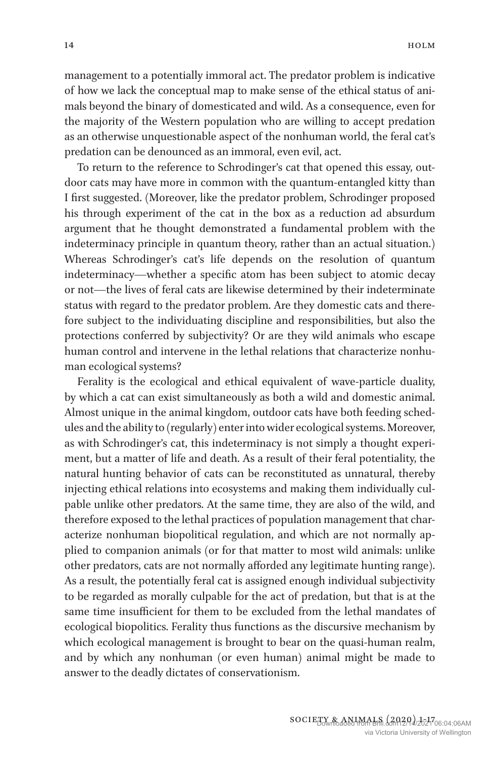management to a potentially immoral act. The predator problem is indicative of how we lack the conceptual map to make sense of the ethical status of animals beyond the binary of domesticated and wild. As a consequence, even for the majority of the Western population who are willing to accept predation as an otherwise unquestionable aspect of the nonhuman world, the feral cat's predation can be denounced as an immoral, even evil, act.

To return to the reference to Schrodinger's cat that opened this essay, outdoor cats may have more in common with the quantum-entangled kitty than I first suggested. (Moreover, like the predator problem, Schrodinger proposed his through experiment of the cat in the box as a reduction ad absurdum argument that he thought demonstrated a fundamental problem with the indeterminacy principle in quantum theory, rather than an actual situation.) Whereas Schrodinger's cat's life depends on the resolution of quantum indeterminacy—whether a specific atom has been subject to atomic decay or not—the lives of feral cats are likewise determined by their indeterminate status with regard to the predator problem. Are they domestic cats and therefore subject to the individuating discipline and responsibilities, but also the protections conferred by subjectivity? Or are they wild animals who escape human control and intervene in the lethal relations that characterize nonhuman ecological systems?

Ferality is the ecological and ethical equivalent of wave-particle duality, by which a cat can exist simultaneously as both a wild and domestic animal. Almost unique in the animal kingdom, outdoor cats have both feeding schedules and the ability to (regularly) enter into wider ecological systems. Moreover, as with Schrodinger's cat, this indeterminacy is not simply a thought experiment, but a matter of life and death. As a result of their feral potentiality, the natural hunting behavior of cats can be reconstituted as unnatural, thereby injecting ethical relations into ecosystems and making them individually culpable unlike other predators. At the same time, they are also of the wild, and therefore exposed to the lethal practices of population management that characterize nonhuman biopolitical regulation, and which are not normally applied to companion animals (or for that matter to most wild animals: unlike other predators, cats are not normally afforded any legitimate hunting range). As a result, the potentially feral cat is assigned enough individual subjectivity to be regarded as morally culpable for the act of predation, but that is at the same time insufficient for them to be excluded from the lethal mandates of ecological biopolitics. Ferality thus functions as the discursive mechanism by which ecological management is brought to bear on the quasi-human realm, and by which any nonhuman (or even human) animal might be made to answer to the deadly dictates of conservationism.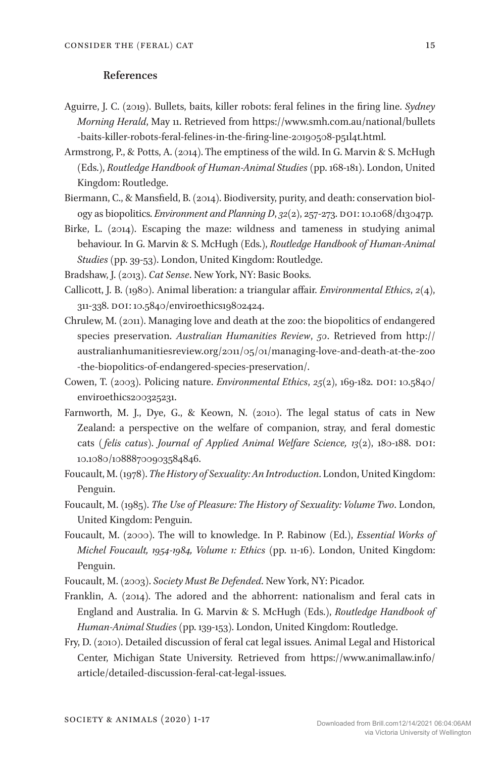### **References**

- Aguirre, J. C. (2019). Bullets, baits, killer robots: feral felines in the firing line. *Sydney Morning Herald*, May 11. Retrieved from https://www.smh.com.au/national/bullets -baits-killer-robots-feral-felines-in-the-firing-line-20190508-p51l4t.html.
- Armstrong, P., & Potts, A. (2014). The emptiness of the wild. In G. Marvin & S. McHugh (Eds.), *Routledge Handbook of Human-Animal Studies* (pp. 168-181). London, United Kingdom: Routledge.
- Biermann, C., & Mansfield, B. (2014). Biodiversity, purity, and death: conservation biology as biopolitics. *Environment and Planning D*, *32*(2), 257-273. DOI: 10.1068/d13047p.
- Birke, L. (2014). Escaping the maze: wildness and tameness in studying animal behaviour. In G. Marvin & S. McHugh (Eds.), *Routledge Handbook of Human-Animal Studies* (pp. 39-53). London, United Kingdom: Routledge.

Bradshaw, J. (2013). *Cat Sense*. New York, NY: Basic Books.

- Callicott, J. B. (1980). Animal liberation: a triangular affair. *Environmental Ethics*, *2*(4), 311-338. DOI: 10.5840/enviroethics19802424.
- Chrulew, M. (2011). Managing love and death at the zoo: the biopolitics of endangered species preservation. *Australian Humanities Review*, *50*. Retrieved from http:// australianhumanitiesreview.org/2011/05/01/managing-love-and-death-at-the-zoo -the-biopolitics-of-endangered-species-preservation/.
- Cowen, T. (2003). Policing nature. *Environmental Ethics*, *25*(2), 169-182. DOI: 10.5840/ enviroethics200325231.
- Farnworth, M. J., Dye, G., & Keown, N. (2010). The legal status of cats in New Zealand: a perspective on the welfare of companion, stray, and feral domestic cats *( felis catus)*. *Journal of Applied Animal Welfare Science, 13*(2), 180-188. DOI: 10.1080/10888700903584846.
- Foucault, M. (1978). *The History of Sexuality: An Introduction*. London, United Kingdom: Penguin.
- Foucault, M. (1985). *The Use of Pleasure: The History of Sexuality: Volume Two*. London, United Kingdom: Penguin.
- Foucault, M. (2000). The will to knowledge. In P. Rabinow (Ed.), *Essential Works of Michel Foucault, 1954-1984, Volume 1: Ethics* (pp. 11-16). London, United Kingdom: Penguin.
- Foucault, M. (2003). *Society Must Be Defended*. New York, NY: Picador.
- Franklin, A. (2014). The adored and the abhorrent: nationalism and feral cats in England and Australia. In G. Marvin & S. McHugh (Eds.), *Routledge Handbook of Human-Animal Studies* (pp. 139-153). London, United Kingdom: Routledge.
- Fry, D. (2010). Detailed discussion of feral cat legal issues. Animal Legal and Historical Center, Michigan State University. Retrieved from https://www.animallaw.info/ article/detailed-discussion-feral-cat-legal-issues.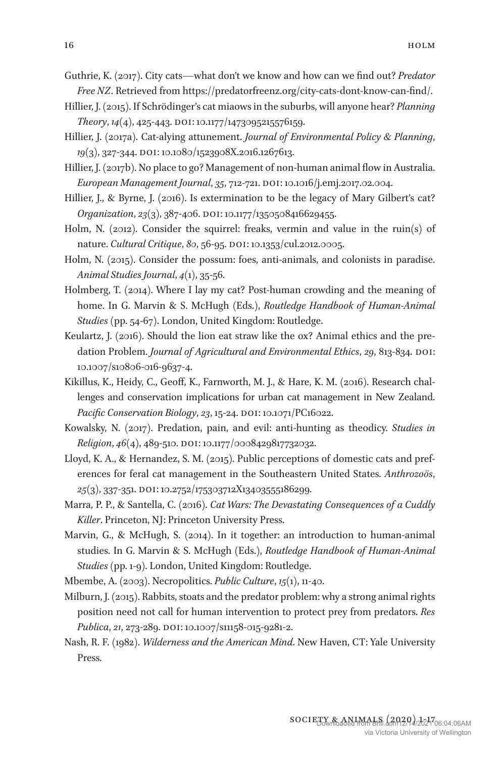Guthrie, K. (2017). City cats—what don't we know and how can we find out? *Predator Free NZ*. Retrieved from https://predatorfreenz.org/city-cats-dont-know-can-find/.

- Hillier, J. (2015). If Schrödinger's cat miaows in the suburbs, will anyone hear? *Planning Theory*, *14*(4), 425-443. DOI: 10.1177/1473095215576159.
- Hillier, J. (2017a). Cat-alying attunement. *Journal of Environmental Policy & Planning*, *19*(3), 327-344. DOI: 10.1080/1523908X.2016.1267613.
- Hillier, J. (2017b). No place to go? Management of non-human animal flow in Australia. *European Management Journal*, *35*, 712-721. DOI: 10.1016/j.emj.2017.02.004.
- Hillier, J., & Byrne, J. (2016). Is extermination to be the legacy of Mary Gilbert's cat? *Organization*, *23*(3), 387-406. DOI: 10.1177/1350508416629455.
- Holm, N. (2012). Consider the squirrel: freaks, vermin and value in the ruin(s) of nature. *Cultural Critique*, *80*, 56-95. DOI: 10.1353/cul.2012.0005.
- Holm, N. (2015). Consider the possum: foes, anti-animals, and colonists in paradise. *Animal Studies Journal*, *4*(1), 35-56.
- Holmberg, T. (2014). Where I lay my cat? Post-human crowding and the meaning of home. In G. Marvin & S. McHugh (Eds.), *Routledge Handbook of Human-Animal Studies* (pp. 54-67). London, United Kingdom: Routledge.
- Keulartz, J. (2016). Should the lion eat straw like the ox? Animal ethics and the predation Problem. *Journal of Agricultural and Environmental Ethics*, *29*, 813-834. DOI: 10.1007/s10806-016-9637-4.
- Kikillus, K., Heidy, C., Geoff, K., Farnworth, M. J., & Hare, K. M. (2016). Research challenges and conservation implications for urban cat management in New Zealand. *Pacific Conservation Biology*, *23*, 15-24. DOI: 10.1071/PC16022.
- Kowalsky, N. (2017). Predation, pain, and evil: anti-hunting as theodicy. *Studies in Religion*, *46*(4), 489-510. DOI: 10.1177/0008429817732032.
- Lloyd, K. A., & Hernandez, S. M. (2015). Public perceptions of domestic cats and preferences for feral cat management in the Southeastern United States. *Anthrozoös*, *25*(3), 337-351. DOI: 10.2752/175303712X13403555186299.
- Marra, P. P., & Santella, C. (2016). *Cat Wars: The Devastating Consequences of a Cuddly Killer*. Princeton, NJ: Princeton University Press.
- Marvin, G., & McHugh, S. (2014). In it together: an introduction to human-animal studies. In G. Marvin & S. McHugh (Eds.), *Routledge Handbook of Human-Animal Studies* (pp. 1-9). London, United Kingdom: Routledge.
- Mbembe, A. (2003). Necropolitics. *Public Culture*, *15*(1), 11-40.
- Milburn, J. (2015). Rabbits, stoats and the predator problem: why a strong animal rights position need not call for human intervention to protect prey from predators. *Res Publica*, *21*, 273-289. DOI: 10.1007/s11158-015-9281-2.
- Nash, R. F. (1982). *Wilderness and the American Mind*. New Haven, CT: Yale University Press.